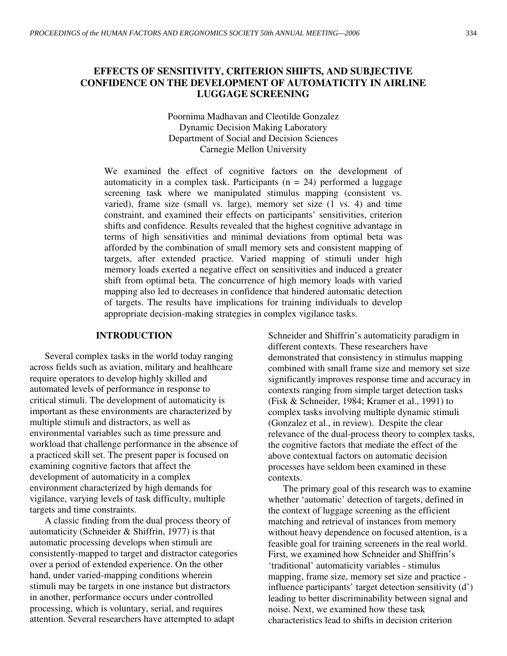# **EFFECTS OF SENSITIVITY, CRITERION SHIFTS, AND SUBJECTIVE CONFIDENCE ON THE DEVELOPMENT OF AUTOMATICITY IN AIRLINE LUGGAGE SCREENING**

Poornima Madhavan and Cleotilde Gonzalez Dynamic Decision Making Laboratory Department of Social and Decision Sciences Carnegie Mellon University

We examined the effect of cognitive factors on the development of automaticity in a complex task. Participants  $(n = 24)$  performed a luggage screening task where we manipulated stimulus mapping (consistent vs. varied), frame size (small vs. large), memory set size (1 vs. 4) and time constraint, and examined their effects on participants' sensitivities, criterion shifts and confidence. Results revealed that the highest cognitive advantage in terms of high sensitivities and minimal deviations from optimal beta was afforded by the combination of small memory sets and consistent mapping of targets, after extended practice. Varied mapping of stimuli under high memory loads exerted a negative effect on sensitivities and induced a greater shift from optimal beta. The concurrence of high memory loads with varied mapping also led to decreases in confidence that hindered automatic detection of targets. The results have implications for training individuals to develop appropriate decision-making strategies in complex vigilance tasks.

### **INTRODUCTION**

Several complex tasks in the world today ranging across fields such as aviation, military and healthcare require operators to develop highly skilled and automated levels of performance in response to critical stimuli. The development of automaticity is important as these environments are characterized by multiple stimuli and distractors, as well as environmental variables such as time pressure and workload that challenge performance in the absence of a practiced skill set. The present paper is focused on examining cognitive factors that affect the development of automaticity in a complex environment characterized by high demands for vigilance, varying levels of task difficulty, multiple targets and time constraints.

A classic finding from the dual process theory of automaticity (Schneider & Shiffrin, 1977) is that automatic processing develops when stimuli are consistently-mapped to target and distractor categories over a period of extended experience. On the other hand, under varied-mapping conditions wherein stimuli may be targets in one instance but distractors in another, performance occurs under controlled processing, which is voluntary, serial, and requires attention. Several researchers have attempted to adapt

Schneider and Shiffrin's automaticity paradigm in different contexts. These researchers have demonstrated that consistency in stimulus mapping combined with small frame size and memory set size significantly improves response time and accuracy in contexts ranging from simple target detection tasks (Fisk & Schneider, 1984; Kramer et al., 1991) to complex tasks involving multiple dynamic stimuli (Gonzalez et al., in review). Despite the clear relevance of the dual-process theory to complex tasks, the cognitive factors that mediate the effect of the above contextual factors on automatic decision processes have seldom been examined in these contexts.

The primary goal of this research was to examine whether 'automatic' detection of targets, defined in the context of luggage screening as the efficient matching and retrieval of instances from memory without heavy dependence on focused attention, is a feasible goal for training screeners in the real world. First, we examined how Schneider and Shiffrin's 'traditional' automaticity variables - stimulus mapping, frame size, memory set size and practice influence participants' target detection sensitivity (d') leading to better discriminability between signal and noise. Next, we examined how these task characteristics lead to shifts in decision criterion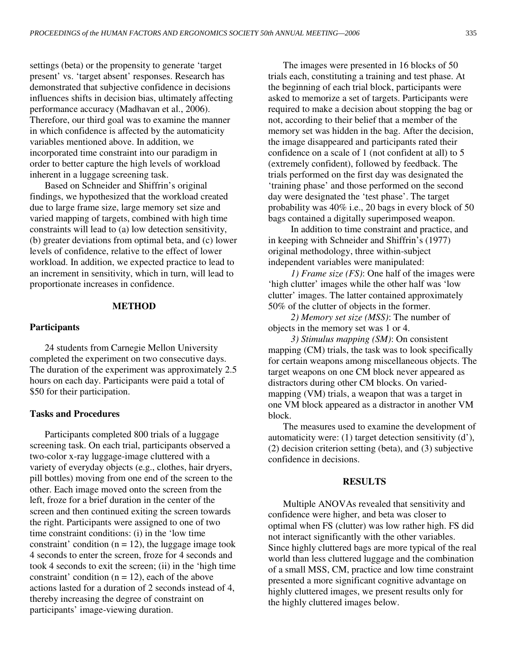settings (beta) or the propensity to generate 'target present' vs. 'target absent' responses. Research has demonstrated that subjective confidence in decisions influences shifts in decision bias, ultimately affecting performance accuracy (Madhavan et al., 2006). Therefore, our third goal was to examine the manner in which confidence is affected by the automaticity variables mentioned above. In addition, we incorporated time constraint into our paradigm in order to better capture the high levels of workload inherent in a luggage screening task.

Based on Schneider and Shiffrin's original findings, we hypothesized that the workload created due to large frame size, large memory set size and varied mapping of targets, combined with high time constraints will lead to (a) low detection sensitivity, (b) greater deviations from optimal beta, and (c) lower levels of confidence, relative to the effect of lower workload. In addition, we expected practice to lead to an increment in sensitivity, which in turn, will lead to proportionate increases in confidence.

### **METHOD**

#### **Participants**

24 students from Carnegie Mellon University completed the experiment on two consecutive days. The duration of the experiment was approximately 2.5 hours on each day. Participants were paid a total of \$50 for their participation.

#### **Tasks and Procedures**

Participants completed 800 trials of a luggage screening task. On each trial, participants observed a two-color x-ray luggage-image cluttered with a variety of everyday objects (e.g., clothes, hair dryers, pill bottles) moving from one end of the screen to the other. Each image moved onto the screen from the left, froze for a brief duration in the center of the screen and then continued exiting the screen towards the right. Participants were assigned to one of two time constraint conditions: (i) in the 'low time constraint' condition  $(n = 12)$ , the luggage image took 4 seconds to enter the screen, froze for 4 seconds and took 4 seconds to exit the screen; (ii) in the 'high time constraint' condition  $(n = 12)$ , each of the above actions lasted for a duration of 2 seconds instead of 4, thereby increasing the degree of constraint on participants' image-viewing duration.

The images were presented in 16 blocks of 50 trials each, constituting a training and test phase. At the beginning of each trial block, participants were asked to memorize a set of targets. Participants were required to make a decision about stopping the bag or not, according to their belief that a member of the memory set was hidden in the bag. After the decision, the image disappeared and participants rated their confidence on a scale of 1 (not confident at all) to 5 (extremely confident), followed by feedback. The trials performed on the first day was designated the 'training phase' and those performed on the second day were designated the 'test phase'. The target probability was 40% i.e., 20 bags in every block of 50 bags contained a digitally superimposed weapon.

In addition to time constraint and practice, and in keeping with Schneider and Shiffrin's (1977) original methodology, three within-subject independent variables were manipulated:

*1) Frame size (FS)*: One half of the images were 'high clutter' images while the other half was 'low clutter' images. The latter contained approximately 50% of the clutter of objects in the former.

*2) Memory set size (MSS)*: The number of objects in the memory set was 1 or 4.

*3) Stimulus mapping (SM)*: On consistent mapping (CM) trials, the task was to look specifically for certain weapons among miscellaneous objects. The target weapons on one CM block never appeared as distractors during other CM blocks. On variedmapping (VM) trials, a weapon that was a target in one VM block appeared as a distractor in another VM block.

The measures used to examine the development of automaticity were: (1) target detection sensitivity (d'), (2) decision criterion setting (beta), and (3) subjective confidence in decisions.

#### **RESULTS**

Multiple ANOVAs revealed that sensitivity and confidence were higher, and beta was closer to optimal when FS (clutter) was low rather high. FS did not interact significantly with the other variables. Since highly cluttered bags are more typical of the real world than less cluttered luggage and the combination of a small MSS, CM, practice and low time constraint presented a more significant cognitive advantage on highly cluttered images, we present results only for the highly cluttered images below.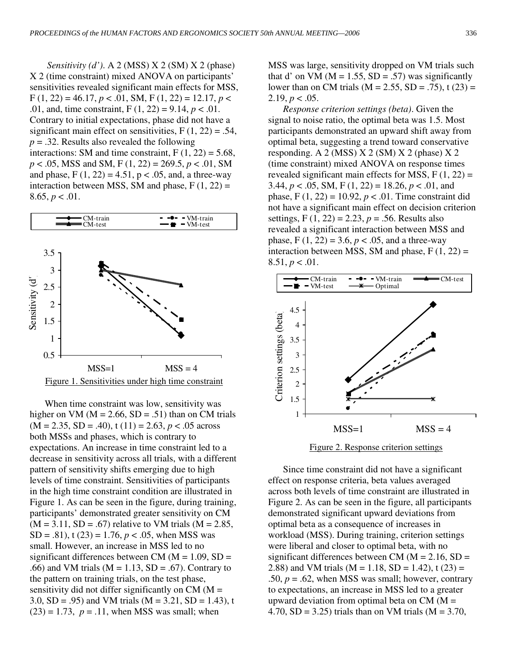*Sensitivity (d')*. A 2 (MSS) X 2 (SM) X 2 (phase) X 2 (time constraint) mixed ANOVA on participants' sensitivities revealed significant main effects for MSS,  $F(1, 22) = 46.17, p < .01, SM, F(1, 22) = 12.17, p < .01$ .01, and, time constraint,  $F(1, 22) = 9.14, p < .01$ . Contrary to initial expectations, phase did not have a significant main effect on sensitivities,  $F(1, 22) = .54$ , *p* = .32. Results also revealed the following interactions: SM and time constraint,  $F(1, 22) = 5.68$ , *p* < .05, MSS and SM, F (1, 22) = 269.5, *p* < .01, SM and phase,  $F(1, 22) = 4.51$ ,  $p < .05$ , and, a three-way interaction between MSS, SM and phase,  $F(1, 22) =$  $8.65, p < .01$ .



When time constraint was low, sensitivity was higher on VM ( $M = 2.66$ , SD = .51) than on CM trials  $(M = 2.35, SD = .40)$ , t  $(11) = 2.63, p < .05$  across both MSSs and phases, which is contrary to expectations. An increase in time constraint led to a decrease in sensitivity across all trials, with a different pattern of sensitivity shifts emerging due to high levels of time constraint. Sensitivities of participants in the high time constraint condition are illustrated in Figure 1. As can be seen in the figure, during training, participants' demonstrated greater sensitivity on CM  $(M = 3.11, SD = .67)$  relative to VM trials  $(M = 2.85,$  $SD = .81$ , t (23) = 1.76,  $p < .05$ , when MSS was small. However, an increase in MSS led to no significant differences between CM ( $M = 1.09$ , SD = .66) and VM trials ( $M = 1.13$ ,  $SD = .67$ ). Contrary to the pattern on training trials, on the test phase, sensitivity did not differ significantly on  $CM (M =$ 3.0, SD = .95) and VM trials ( $M = 3.21$ , SD = 1.43), t  $(23) = 1.73$ ,  $p = .11$ , when MSS was small; when

MSS was large, sensitivity dropped on VM trials such that d' on VM ( $M = 1.55$ , SD = .57) was significantly lower than on CM trials ( $M = 2.55$ ,  $SD = .75$ ), t (23) = 2.19,  $p < .05$ .

*Response criterion settings (beta)*. Given the signal to noise ratio, the optimal beta was 1.5. Most participants demonstrated an upward shift away from optimal beta, suggesting a trend toward conservative responding. A 2 (MSS) X 2 (SM) X 2 (phase) X 2 (time constraint) mixed ANOVA on response times revealed significant main effects for MSS,  $F(1, 22) =$ 3.44,  $p < .05$ , SM, F (1, 22) = 18.26,  $p < .01$ , and phase,  $F(1, 22) = 10.92, p < .01$ . Time constraint did not have a significant main effect on decision criterion settings, F (1, 22) = 2.23, *p* = .56. Results also revealed a significant interaction between MSS and phase,  $F(1, 22) = 3.6, p < .05$ , and a three-way interaction between MSS, SM and phase,  $F(1, 22) =$  $8.51, p < .01.$ 



Since time constraint did not have a significant effect on response criteria, beta values averaged across both levels of time constraint are illustrated in Figure 2. As can be seen in the figure, all participants demonstrated significant upward deviations from optimal beta as a consequence of increases in workload (MSS). During training, criterion settings were liberal and closer to optimal beta, with no significant differences between CM ( $M = 2.16$ , SD = 2.88) and VM trials (M = 1.18, SD = 1.42), t (23) = .50,  $p = .62$ , when MSS was small; however, contrary to expectations, an increase in MSS led to a greater upward deviation from optimal beta on  $CM (M =$ 4.70,  $SD = 3.25$ ) trials than on VM trials (M = 3.70,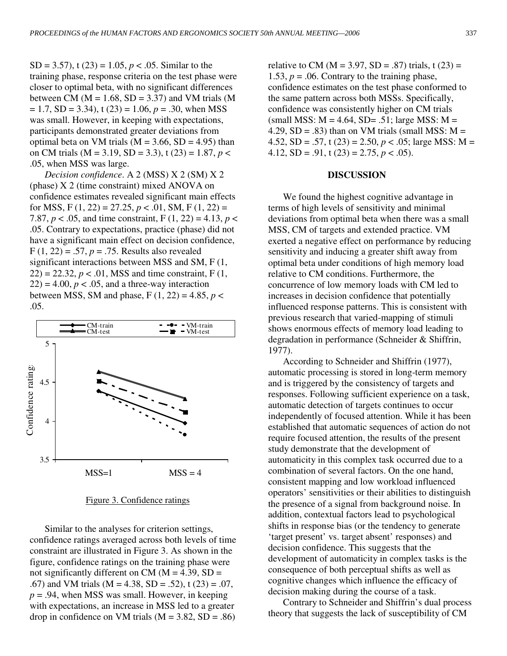SD = 3.57), t (23) = 1.05, *p* < .05. Similar to the training phase, response criteria on the test phase were closer to optimal beta, with no significant differences between CM ( $M = 1.68$ , SD = 3.37) and VM trials (M  $= 1.7$ , SD = 3.34), t (23) = 1.06,  $p = .30$ , when MSS was small. However, in keeping with expectations, participants demonstrated greater deviations from optimal beta on VM trials ( $M = 3.66$ , SD = 4.95) than on CM trials (M = 3.19, SD = 3.3), t (23) = 1.87, *p* < .05, when MSS was large.

*Decision confidence*. A 2 (MSS) X 2 (SM) X 2 (phase) X 2 (time constraint) mixed ANOVA on confidence estimates revealed significant main effects for MSS,  $F(1, 22) = 27.25, p < .01$ , SM,  $F(1, 22) =$ 7.87,  $p < .05$ , and time constraint, F (1, 22) = 4.13,  $p <$ .05. Contrary to expectations, practice (phase) did not have a significant main effect on decision confidence,  $F(1, 22) = .57, p = .75$ . Results also revealed significant interactions between MSS and SM, F (1,  $(22) = 22.32, p < .01, MSS$  and time constraint, F  $(1,$  $(22) = 4.00$ ,  $p < .05$ , and a three-way interaction between MSS, SM and phase,  $F(1, 22) = 4.85$ ,  $p <$ .05.



Figure 3. Confidence ratings

Similar to the analyses for criterion settings, confidence ratings averaged across both levels of time constraint are illustrated in Figure 3. As shown in the figure, confidence ratings on the training phase were not significantly different on CM ( $M = 4.39$ , SD = .67) and VM trials ( $M = 4.38$ ,  $SD = .52$ ), t (23) = .07,  $p = .94$ , when MSS was small. However, in keeping with expectations, an increase in MSS led to a greater drop in confidence on VM trials  $(M = 3.82, SD = .86)$ 

relative to CM ( $M = 3.97$ , SD = .87) trials, t (23) = 1.53,  $p = 0.06$ . Contrary to the training phase, confidence estimates on the test phase conformed to the same pattern across both MSSs. Specifically, confidence was consistently higher on CM trials  $(s$ mall MSS: M = 4.64, SD= .51; large MSS: M = 4.29,  $SD = .83$ ) than on VM trials (small MSS:  $M =$ 4.52,  $SD = .57$ , t (23) = 2.50,  $p < .05$ ; large MSS: M = 4.12,  $SD = .91$ ,  $t(23) = 2.75$ ,  $p < .05$ ).

#### **DISCUSSION**

We found the highest cognitive advantage in terms of high levels of sensitivity and minimal deviations from optimal beta when there was a small MSS, CM of targets and extended practice. VM exerted a negative effect on performance by reducing sensitivity and inducing a greater shift away from optimal beta under conditions of high memory load relative to CM conditions. Furthermore, the concurrence of low memory loads with CM led to increases in decision confidence that potentially influenced response patterns. This is consistent with previous research that varied-mapping of stimuli shows enormous effects of memory load leading to degradation in performance (Schneider & Shiffrin, 1977).

According to Schneider and Shiffrin (1977), automatic processing is stored in long-term memory and is triggered by the consistency of targets and responses. Following sufficient experience on a task, automatic detection of targets continues to occur independently of focused attention. While it has been established that automatic sequences of action do not require focused attention, the results of the present study demonstrate that the development of automaticity in this complex task occurred due to a combination of several factors. On the one hand, consistent mapping and low workload influenced operators' sensitivities or their abilities to distinguish the presence of a signal from background noise. In addition, contextual factors lead to psychological shifts in response bias (or the tendency to generate 'target present' vs. target absent' responses) and decision confidence. This suggests that the development of automaticity in complex tasks is the consequence of both perceptual shifts as well as cognitive changes which influence the efficacy of decision making during the course of a task.

Contrary to Schneider and Shiffrin's dual process theory that suggests the lack of susceptibility of CM